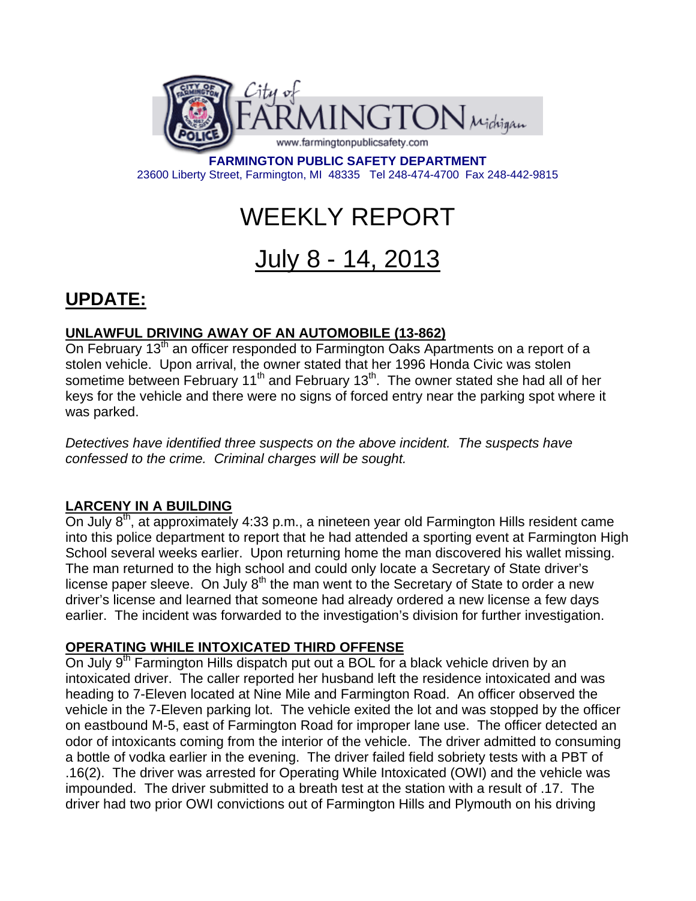

**FARMINGTON PUBLIC SAFETY DEPARTMENT**  23600 Liberty Street, Farmington, MI 48335 Tel 248-474-4700 Fax 248-442-9815

# WEEKLY REPORT

## July 8 - 14, 2013

### **UPDATE:**

#### **UNLAWFUL DRIVING AWAY OF AN AUTOMOBILE (13-862)**

On February  $13<sup>th</sup>$  an officer responded to Farmington Oaks Apartments on a report of a stolen vehicle. Upon arrival, the owner stated that her 1996 Honda Civic was stolen sometime between February 11<sup>th</sup> and February 13<sup>th</sup>. The owner stated she had all of her keys for the vehicle and there were no signs of forced entry near the parking spot where it was parked.

*Detectives have identified three suspects on the above incident. The suspects have confessed to the crime. Criminal charges will be sought.* 

#### **LARCENY IN A BUILDING**

On July 8<sup>th</sup>, at approximately 4:33 p.m., a nineteen year old Farmington Hills resident came into this police department to report that he had attended a sporting event at Farmington High School several weeks earlier. Upon returning home the man discovered his wallet missing. The man returned to the high school and could only locate a Secretary of State driver's license paper sleeve. On July  $8<sup>th</sup>$  the man went to the Secretary of State to order a new driver's license and learned that someone had already ordered a new license a few days earlier. The incident was forwarded to the investigation's division for further investigation.

#### **OPERATING WHILE INTOXICATED THIRD OFFENSE**

On July 9<sup>th</sup> Farmington Hills dispatch put out a BOL for a black vehicle driven by an intoxicated driver. The caller reported her husband left the residence intoxicated and was heading to 7-Eleven located at Nine Mile and Farmington Road. An officer observed the vehicle in the 7-Eleven parking lot. The vehicle exited the lot and was stopped by the officer on eastbound M-5, east of Farmington Road for improper lane use. The officer detected an odor of intoxicants coming from the interior of the vehicle. The driver admitted to consuming a bottle of vodka earlier in the evening. The driver failed field sobriety tests with a PBT of .16(2). The driver was arrested for Operating While Intoxicated (OWI) and the vehicle was impounded. The driver submitted to a breath test at the station with a result of .17. The driver had two prior OWI convictions out of Farmington Hills and Plymouth on his driving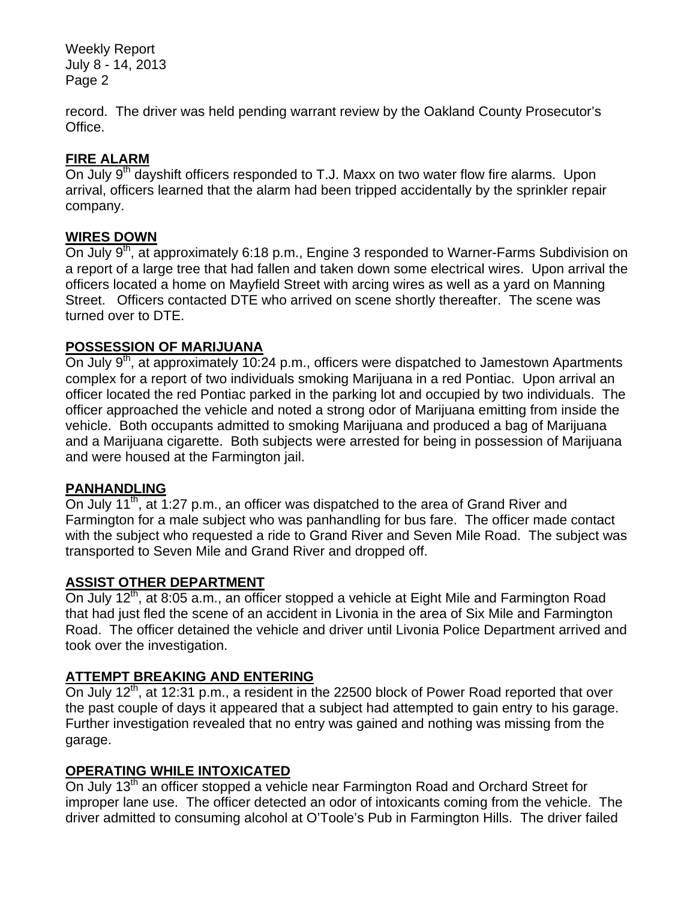Weekly Report July 8 - 14, 2013 Page 2

record. The driver was held pending warrant review by the Oakland County Prosecutor's Office.

#### **FIRE ALARM**

On July 9<sup>th</sup> dayshift officers responded to T.J. Maxx on two water flow fire alarms. Upon arrival, officers learned that the alarm had been tripped accidentally by the sprinkler repair company.

#### **WIRES DOWN**

On July 9<sup>th</sup>, at approximately 6:18 p.m., Engine 3 responded to Warner-Farms Subdivision on a report of a large tree that had fallen and taken down some electrical wires. Upon arrival the officers located a home on Mayfield Street with arcing wires as well as a yard on Manning Street. Officers contacted DTE who arrived on scene shortly thereafter. The scene was turned over to DTE.

#### **POSSESSION OF MARIJUANA**

On July 9<sup>th</sup>, at approximately 10:24 p.m., officers were dispatched to Jamestown Apartments complex for a report of two individuals smoking Marijuana in a red Pontiac. Upon arrival an officer located the red Pontiac parked in the parking lot and occupied by two individuals. The officer approached the vehicle and noted a strong odor of Marijuana emitting from inside the vehicle. Both occupants admitted to smoking Marijuana and produced a bag of Marijuana and a Marijuana cigarette. Both subjects were arrested for being in possession of Marijuana and were housed at the Farmington jail.

#### **PANHANDLING**

On July 11<sup>th</sup>, at 1:27 p.m., an officer was dispatched to the area of Grand River and Farmington for a male subject who was panhandling for bus fare. The officer made contact with the subject who requested a ride to Grand River and Seven Mile Road. The subject was transported to Seven Mile and Grand River and dropped off.

#### **ASSIST OTHER DEPARTMENT**

On July 12<sup>th</sup>, at 8:05 a.m., an officer stopped a vehicle at Eight Mile and Farmington Road that had just fled the scene of an accident in Livonia in the area of Six Mile and Farmington Road. The officer detained the vehicle and driver until Livonia Police Department arrived and took over the investigation.

#### **ATTEMPT BREAKING AND ENTERING**

On July  $12^{th}$ , at 12:31 p.m., a resident in the 22500 block of Power Road reported that over the past couple of days it appeared that a subject had attempted to gain entry to his garage. Further investigation revealed that no entry was gained and nothing was missing from the garage.

#### **OPERATING WHILE INTOXICATED**

On July 13<sup>th</sup> an officer stopped a vehicle near Farmington Road and Orchard Street for improper lane use. The officer detected an odor of intoxicants coming from the vehicle. The driver admitted to consuming alcohol at O'Toole's Pub in Farmington Hills. The driver failed